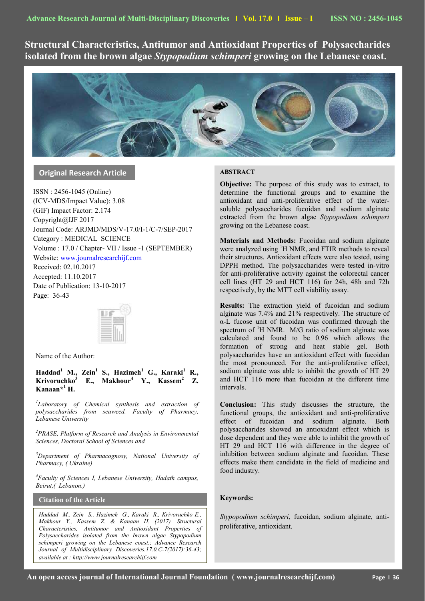**Structural Characteristics, Antitumor and Antioxidant Properties of Polysaccharides isolated from the brown algae** *Stypopodium schimperi* **growing on the Lebanese coast.**



**Original Research Article**

ISSN : 2456-1045 (Online) (ICV-MDS/Impact Value): 3.08 (GIF) Impact Factor: 2.174 Copyright@IJF 2017 Journal Code: ARJMD/MDS/V-17.0/I-1/C-7/SEP-2017 Category : MEDICAL SCIENCE Volume : 17.0 / Chapter- VII / Issue -1 (SEPTEMBER) Website[: www.journalresearchijf.com](http://www.journalresearchijf.com/) Received: 02.10.2017 Accepted: 11.10.2017 Date of Publication: 13-10-2017 Page: 36-43



Name of the Author:

# **Haddad<sup>1</sup> M., Zein<sup>1</sup> S., Hazimeh<sup>1</sup> G., Karaki<sup>1</sup> R., Krivoruchko<sup>3</sup> E., Makhour<sup>4</sup> Y., Kassem<sup>2</sup> Z. Kanaan\*<sup>1</sup> H.**

*1 Laboratory of Chemical synthesis and extraction of polysaccharides from seaweed, Faculty of Pharmacy, Lebanese University* 

*<sup>2</sup>PRASE, Platform of Research and Analysis in Environmental Sciences, Doctoral School of Sciences and* 

*<sup>3</sup>Department of Pharmacognosy, National University of Pharmacy, ( Ukraine)*

*<sup>4</sup>Faculty of Sciences I, Lebanese University, Hadath campus, Beirut,( Lebanon.)*

**Citation of the Article**

*Haddad M., Zein S., Hazimeh G., Karaki R., Krivoruchko E., Makhour Y., Kassem Z. & Kanaan H. (2017). Structural Characteristics, Antitumor and Antioxidant Properties of Polysaccharides isolated from the brown algae Stypopodium schimperi growing on the Lebanese coast.; Advance Research Journal of Multidisciplinary Discoveries.17.0,C-7(2017):36-43; available at : http://www.journalresearchijf.com***e;**

# **ABSTRACT**

**Objective:** The purpose of this study was to extract, to determine the functional groups and to examine the antioxidant and anti-proliferative effect of the watersoluble polysaccharides fucoidan and sodium alginate extracted from the brown algae *Stypopodium schimperi* growing on the Lebanese coast.

**Materials and Methods:** Fucoidan and sodium alginate were analyzed using <sup>1</sup>H NMR, and FTIR methods to reveal their structures. Antioxidant effects were also tested, using DPPH method. The polysaccharides were tested in*-*vitro for anti-proliferative activity against the colorectal cancer cell lines (HT 29 and HCT 116) for 24h, 48h and 72h respectively, by the MTT cell viability assay.

**Results:** The extraction yield of fucoidan and sodium alginate was 7.4% and 21% respectively. The structure of α-L fucose unit of fucoidan was confirmed through the spectrum of  ${}^{1}H$  NMR. M/G ratio of sodium alginate was calculated and found to be 0.96 which allows the formation of strong and heat stable gel. Both polysaccharides have an antioxidant effect with fucoidan the most pronounced. For the anti-proliferative effect, sodium alginate was able to inhibit the growth of HT 29 and HCT 116 more than fucoidan at the different time intervals.

**Conclusion:** This study discusses the structure, the functional groups, the antioxidant and anti-proliferative effect of fucoidan and sodium alginate. Both polysaccharides showed an antioxidant effect which is dose dependent and they were able to inhibit the growth of HT 29 and HCT 116 with difference in the degree of inhibition between sodium alginate and fucoidan. These effects make them candidate in the field of medicine and food industry.

# **Keywords:**

*Stypopodium schimperi*, fucoidan, sodium alginate, antiproliferative, antioxidant.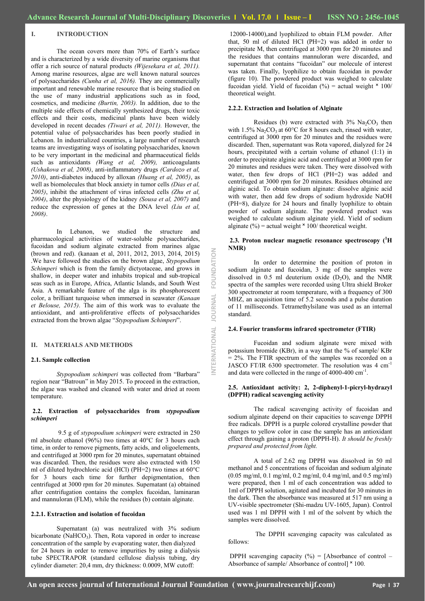**INTERNATIONAL JOURNAL FOUNDATION**

JOURNAL

NTERNATIONAL

FOUNDATION

## **I. INTRODUCTION**

The ocean covers more than 70% of Earth's surface and is characterized by a wide diversity of marine organisms that offer a rich source of natural products *(Wijesekara et al, 2011).*  Among marine resources, algae are well known natural sources of polysaccharides *(Cunha et al, 2016).* They are commercially important and renewable marine resource that is being studied on the use of many industrial applications such as in food, cosmetics, and medicine *(Burtin, 2003).* In addition, due to the multiple side effects of chemically synthesized drugs, their toxic effects and their costs, medicinal plants have been widely developed in recent decades *(Tiwari et al, 2011).* However, the potential value of polysaccharides has been poorly studied in Lebanon. In industrialized countries, a large number of research teams are investigating ways of isolating polysaccharides, known to be very important in the medicinal and pharmaceutical fields such as antioxidants *(Wang et al, 2009),* anticoagulants *(Ushakova et al, 2008)*, anti-inflammatory drugs *(Cardozo et al, 2010)*, anti-diabetes induced by alloxan *(Huang et al, 2005)*, as well as biomolecules that block anxiety in tumor cells *(Dias et al, 2005)*, inhibit the attachment of virus infected cells *(Zhu et al, 2004)*, alter the physiology of the kidney *(Sousa et al, 2007)* and reduce the expression of genes at the DNA level *(Liu et al, 2008)*.

In Lebanon, we studied the structure and pharmacological activities of water-soluble polysaccharides, fucoidan and sodium alginate extracted from marines algae (brown and red). (kanaan et al, 2011, 2012, 2013, 2014, 2015) .We have followed the studies on the brown algae, *Stypopodium Schimperi* which is from the family dictyotaceae, and grows in shallow, in deeper water and inhabits tropical and sub-tropical seas such as in Europe, Africa, Atlantic Islands, and South West Asia. A remarkable feature of the alga is its phosphorescent color, a brilliant turquoise when immersed in seawater *(Kanaan et Belouse, 2015)*. The aim of this work was to evaluate the antioxidant, and anti-proliferative effects of polysaccharides extracted from the brown algae "*Stypopodium Schimperi*".

### **II. MATERIALS AND METHODS**

#### **2.1. Sample collection**

*Stypopodium schimperi* was collected from "Barbara" region near "Batroun" in May 2015. To proceed in the extraction, the algae was washed and cleaned with water and dried at room temperature.

## **2.2. Extraction of polysaccharides from** *stypopodium schimperi*

9.5 g of *stypopodium schimperi* were extracted in 250 ml absolute ethanol (96%) two times at 40°C for 3 hours each time, in order to remove pigments, fatty acids, and oligoelements, and centrifuged at 3000 rpm for 20 minutes, supernatant obtained was discarded. Then, the residues were also extracted with 150 ml of diluted hydrochloric acid (HCl) (PH=2) two times at 60°C for 3 hours each time for further depigmentation, then centrifuged at 3000 rpm for 20 minutes. Supernatant (a) obtained after centrifugation contains the complex fucoidan, laminaran and mannuloran (FLM), while the residues (b) contain alginate.

#### **2.2.1. Extraction and isolation of fucoidan**

Supernatant (a) was neutralized with 3% sodium bicarbonate (NaHCO<sub>3</sub>). Then, Rota vapored in order to increase concentration of the sample by evaporating water, then dialyzed for 24 hours in order to remove impurities by using a dialysis tube SPECTRAPOR (standard cellulose dialysis tubing, dry cylinder diameter: 20,4 mm, dry thickness: 0.0009, MW cutoff:

## **2.2.2. Extraction and Isolation of Alginate**

Residues (b) were extracted with  $3\%$  Na<sub>2</sub>CO<sub>3</sub> then with  $1.5\%$  Na<sub>2</sub>CO<sub>3</sub> at 60 $\degree$ C for 8 hours each, rinsed with water, centrifuged at 3000 rpm for 20 minutes and the residues were discarded. Then, supernatant was Rota vapored, dialyzed for 24 hours, precipitated with a certain volume of ethanol (1:1) in order to precipitate alginic acid and centrifuged at 3000 rpm for 20 minutes and residues were taken. They were dissolved with water, then few drops of HCl (PH=2) was added and centrifuged at 3000 rpm for 20 minutes. Residues obtained are alginic acid. To obtain sodium alginate: dissolve alginic acid with water, then add few drops of sodium hydroxide NaOH (PH=8), dialyze for 24 hours and finally lyophilize to obtain powder of sodium alginate. The powdered product was weighed to calculate sodium alginate yield. Yield of sodium alginate (%) = actual weight  $\times$  100/ theoretical weight.

## **2.3. Proton nuclear magnetic resonance spectroscopy (<sup>1</sup>H NMR)**

In order to determine the position of proton in sodium alginate and fucoidan, 3 mg of the samples were dissolved in 0.5 ml deuterium oxide  $(D_2O)$ , and the NMR spectra of the samples were recorded using Ultra shield Broker 300 spectrometer at room temperature, with a frequency of 300 MHZ, an acquisition time of 5.2 seconds and a pulse duration of 11 milliseconds. Tetramethylsilane was used as an internal standard.

#### **2.4. Fourier transforms infrared spectrometer (FTIR)**

Fucoidan and sodium alginate were mixed with potassium bromide (KBr), in a way that the % of sample/ KBr = 2%. The FTIR spectrum of the samples was recorded on a JASCO FT/IR 6300 spectrometer. The resolution was 4 cm-1 and data were collected in the range of  $4000-400$  cm<sup>-1</sup>.

# **2.5. Antioxidant activity: 2, 2-diphenyl-1-picryl-hydrazyl (DPPH) radical scavenging activity**

The radical scavenging activity of fucoidan and sodium alginate depend on their capacities to scavenge DPPH free radicals. DPPH is a purple colored crystalline powder that changes to yellow color in case the sample has an antioxidant effect through gaining a proton (DPPH-H). *It should be freshly prepared and protected from light.*

A total of 2.62 mg DPPH was dissolved in 50 ml methanol and 5 concentrations of fucoidan and sodium alginate (0.05 mg/ml, 0.1 mg/ml, 0.2 mg/ml, 0.4 mg/ml, and 0.5 mg/ml) were prepared, then 1 ml of each concentration was added to 1ml of DPPH solution, agitated and incubated for 30 minutes in the dark. Then the absorbance was measured at 517 nm using a UV-visible spectrometer (Shi-madzu UV-1605, Japan). Control used was 1 ml DPPH with 1 ml of the solvent by which the samples were dissolved.

The DPPH scavenging capacity was calculated as follows:

DPPH scavenging capacity  $(\%) = [\text{Absorbane of control} -$ Absorbance of sample/ Absorbance of control]  $\times$  100.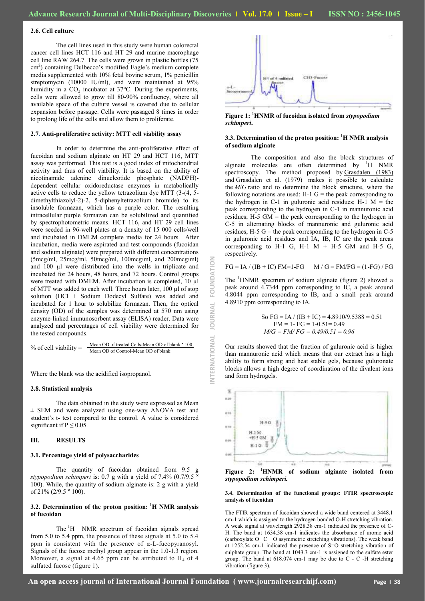#### **2.6. Cell culture**

The cell lines used in this study were human colorectal cancer cell lines HCT 116 and HT 29 and murine macrophage cell line RAW 264.7. The cells were grown in plastic bottles (75 cm<sup>2</sup>) containing Dulbecco's modified Eagle's medium complete media supplemented with 10% fetal bovine serum, 1% penicillin streptomycin (10000 IU/ml), and were maintained at 95% humidity in a  $CO<sub>2</sub>$  incubator at 37 $\degree$ C. During the experiments, cells were allowed to grow till 80-90% confluency, where all available space of the culture vessel is covered due to cellular expansion before passage. Cells were passaged 8 times in order to prolong life of the cells and allow them to proliferate.

#### **2.7. Anti-proliferative activity: MTT cell viability assay**

In order to determine the anti-proliferative effect of fucoidan and sodium alginate on HT 29 and HCT 116, MTT assay was performed. This test is a good index of mitochondrial activity and thus of cell viability. It is based on the ability of nicotinamide adenine dinucleotide phosphate (NADPH) dependent cellular oxidoreductase enzymes in metabolically active cells to reduce the yellow tetrazolium dye MTT (3-(4, 5 dimethylthiazolyl-2)-2, 5-diphenyltetrazolium bromide) to its insoluble formazan, which has a purple color. The resulting intracellular purple formazan can be solubilized and quantified by spectrophotometric means. HCT 116, and HT 29 cell lines were seeded in 96-well plates at a density of 15 000 cells/well and incubated in DMEM complete media for 24 hours. After incubation, media were aspirated and test compounds (fucoidan and sodium alginate) were prepared with different concentrations (5mcg/ml, 25mcg/ml, 50mcg/ml, 100mcg/ml, and 200mcg/ml) and 100 µl were distributed into the wells in triplicate and incubated for 24 hours, 48 hours, and 72 hours. Control groups were treated with DMEM. After incubation is completed, 10 µl of MTT was added to each well. Three hours later, 100 µl of stop solution (HCl + Sodium Dodecyl Sulfate) was added and incubated for 1 hour to solubilize formazan. Then, the optical density (OD) of the samples was determined at 570 nm using enzyme-linked immunosorbent assay (ELISA) reader. Data were analyzed and percentages of cell viability were determined for the tested compounds.

% of cell viability = 
$$
\frac{\text{Mean OD of treated Cells-Mean OD of blank} \times 100}{\text{Mean OD of Control-Mean OD of blank}}
$$

Where the blank was the acidified isopropanol.

#### **2.8. Statistical analysis**

The data obtained in the study were expressed as Mean ± SEM and were analyzed using one-way ANOVA test and student's t- test compared to the control. A value is considered significant if  $P \le 0.05$ .

## **III. RESULTS**

#### **3.1. Percentage yield of polysaccharides**

The quantity of fucoidan obtained from 9.5 g *stypopodium schimperi* is: 0.7 g with a yield of 7.4% (0.7/9.5 ˟ 100). While, the quantity of sodium alginate is: 2 g with a yield of 21% (2/9.5  $*$  100).

### **3.2. Determination of the proton position: <sup>1</sup>H NMR analysis of fucoidan**

The  ${}^{1}H$  NMR spectrum of fucoidan signals spread from 5.0 to 5.4 ppm, the presence of these signals at 5.0 to 5.4 ppm is consistent with the presence of  $\alpha$ -L-fucopyranosyl. Signals of the fucose methyl group appear in the 1.0-1.3 region. Moreover, a signal at 4.65 ppm can be attributed to  $H_4$  of 4 sulfated fucose (figure 1).



**Figure 1: <sup>1</sup>HNMR of fucoidan isolated from** *stypopodium schimperi***.**

## **3.3. Determination of the proton position: <sup>1</sup>H NMR analysis of sodium alginate**

The composition and also the block structures of alginate molecules are often determined by  ${}^{1}H$  NMR spectroscopy. The method proposed by [Grasdalen \(1983\)](http://www.sciencedirect.com/science/article/pii/S1878535214000793#b0090) and [Grasdalen et al. \(1979\)](http://www.sciencedirect.com/science/article/pii/S1878535214000793#b0095) makes it possible to calculate the *M*/*G* ratio and to determine the block structure, where the following notations are used: H-1  $G =$  the peak corresponding to the hydrogen in C-1 in guluronic acid residues; H-1  $M =$  the peak corresponding to the hydrogen in C-1 in mannuronic acid residues;  $H - 5$  GM = the peak corresponding to the hydrogen in C-5 in alternating blocks of mannuronic and guluronic acid residues; H-5 G = the peak corresponding to the hydrogen in C-5 in guluronic acid residues and IA, IB, IC are the peak areas corresponding to H-1 G, H-1  $M + H-5$  GM and H-5 G, respectively.

$$
FG = IA / (IB + IC) FM = 1-FG \qquad M / G = FM / FG = (1-FG) / FG
$$

The <sup>1</sup>HNMR spectrum of sodium alginate (figure 2) showed a peak around 4.7344 ppm corresponding to IC, a peak around 4.8044 ppm corresponding to IB, and a small peak around 4.8910 ppm corresponding to IA.

So FG = IA / (IB + IC) = 4.8910/9.5388 = 0.51  
FM = 1 - FG = 1-0.51 = 0.49  

$$
M/G = FM/FG = 0.49/0.51 = 0.96
$$

Our results showed that the fraction of guluronic acid is higher than mannuronic acid which means that our extract has a high ability to form strong and heat stable gels, because guluronate blocks allows a high degree of coordination of the divalent ions and form hydrogels.





#### **3.4. Determination of the functional groups: FTIR spectroscopic analysis of fucoidan**

The FTIR spectrum of fucoidan showed a wide band centered at 3448.1 cm-1 which is assigned to the hydrogen bonded O-H stretching vibration. A weak signal at wavelength 2928.38 cm-1 indicated the presence of C-H. The band at 1634.38 cm-1 indicates the absorbance of uronic acid (carboxylate O\_ C \_ O asymmetric stretching vibrations). The weak band at 1252.54 cm-1 indicated the presence of S=O stretching vibration of sulphate group. The band at 1043.3 cm-1 is assigned to the sulfate ester group. The band at 618.074 cm-1 may be due to C - C -H stretching vibration (figure 3).

**INTERNATIONAL JOURNAL FOUNDATION**

**JOURNAL** 

NTERNATIONAL

 $\leq$ 

FOUNDATI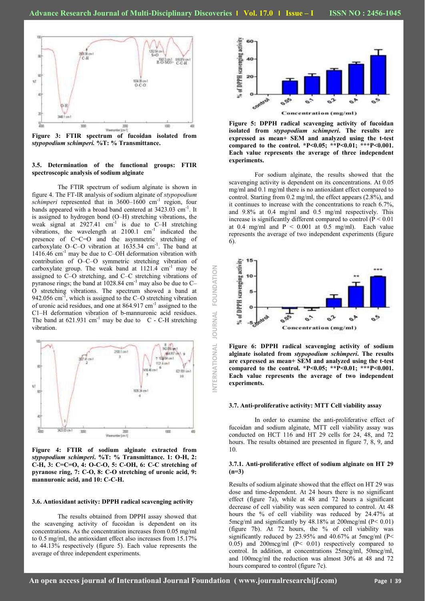

**Figure 3: FTIR spectrum of fucoidan isolated from**  *stypopodium schimperi.* **%T: % Transmittance.**

### **3.5. Determination of the functional groups: FTIR spectroscopic analysis of sodium alginate**

The FTIR spectrum of sodium alginate is shown in figure 4. The FT-IR analysis of sodium alginate of *stypopodium*   $schimperi$  represented that in  $3600-1600$  cm<sup>-1</sup> region, four bands appeared with a broad band centered at 3423.03 cm<sup>-1</sup>. It is assigned to hydrogen bond (O–H) stretching vibrations, the weak signal at  $2927.41 \text{ cm}^{-1}$  is due to C-H stretching vibrations, the wavelength at  $2100.1$  cm<sup>-1</sup> indicated the presence of C=C=O and the asymmetric stretching of carboxylate  $O-C-O$  vibration at  $1635.34$  cm<sup>-1</sup>. The band at  $1416.46$  cm<sup>-1</sup> may be due to C–OH deformation vibration with contribution of O–C–O symmetric stretching vibration of carboxylate group. The weak band at  $1121.4 \text{ cm}^{-1}$  may be assigned to C–O stretching, and C–C stretching vibrations of pyranose rings; the band at  $1028.84 \text{ cm}^{-1}$  may also be due to C– O stretching vibrations. The spectrum showed a band at 942.056 cm<sup>-1</sup>, which is assigned to the C-O stretching vibration of uronic acid residues, and one at  $864.917$  cm<sup>-1</sup> assigned to the C1–H deformation vibration of b-mannuronic acid residues. The band at  $621.931$  cm<sup>-1</sup> may be due to C - C-H stretching vibration.



**Figure 4: FTIR of sodium alginate extracted from**  *stypopodium schimperi***. %T: % Transmittance. 1: O-H, 2: C-H, 3: C=C=O, 4: O-C-O, 5: C-OH, 6: C-C stretching of pyranose ring, 7: C-O, 8: C-O stretching of uronic acid, 9: mannuronic acid, and 10: C-C-H.**

### **3.6. Antioxidant activity: DPPH radical scavenging activity**

The results obtained from DPPH assay showed that the scavenging activity of fucoidan is dependent on its concentrations. As the concentration increases from 0.05 mg/ml to 0.5 mg/ml, the antioxidant effect also increases from 15.17% to 44.13% respectively (figure 5). Each value represents the average of three independent experiments.



**Figure 5: DPPH radical scavenging activity of fucoidan isolated from** *stypopodium schimperi***. The results are expressed as mean+ SEM and analyzed using the t-test compared to the control. \*P<0.05; \*\*P<0.01; \*\*\*P<0.001. Each value represents the average of three independent experiments.**

For sodium alginate, the results showed that the scavenging activity is dependent on its concentrations. At 0.05 mg/ml and 0.1 mg/ml there is no antioxidant effect compared to control. Starting from 0.2 mg/ml, the effect appears (2.8%), and it continues to increase with the concentrations to reach 6.7%, and 9.8% at 0.4 mg/ml and 0.5 mg/ml respectively. This increase is significantly different compared to control  $(P < 0.01)$ at 0.4 mg/ml and  $P < 0.001$  at 0.5 mg/ml). Each value represents the average of two independent experiments (figure 6).



**Figure 6: DPPH radical scavenging activity of sodium alginate isolated from** *stypopodium schimperi***. The results are expressed as mean+ SEM and analyzed using the t-test compared to the control. \*P<0.05; \*\*P<0.01; \*\*\*P<0.001. Each value represents the average of two independent experiments.**

# **3.7. Anti-proliferative activity: MTT Cell viability assay**

In order to examine the anti-proliferative effect of fucoidan and sodium alginate, MTT cell viability assay was conducted on HCT 116 and HT 29 cells for 24, 48, and 72 hours. The results obtained are presented in figure 7, 8, 9, and 10.

## **3.7.1. Anti-proliferative effect of sodium alginate on HT 29 (n=3)**

Results of sodium alginate showed that the effect on HT 29 was dose and time-dependent. At 24 hours there is no significant effect (figure 7a), while at 48 and 72 hours a significant decrease of cell viability was seen compared to control. At 48 hours the % of cell viability was reduced by 24.47% at 5mcg/ml and significantly by 48.18% at 200mcg/ml (P< 0.01) (figure 7b). At 72 hours, the % of cell viability was significantly reduced by 23.95% and 40.67% at 5mcg/ml (P< 0.05) and 200mcg/ml (P< 0.01) respectively compared to control. In addition, at concentrations 25mcg/ml, 50mcg/ml, and 100mcg/ml the reduction was almost 30% at 48 and 72 hours compared to control (figure 7c).

**INTERNATIONAL JOURNAL FOUNDATION**

NTERNATIONAL JOURNAL

**FOUNDATION**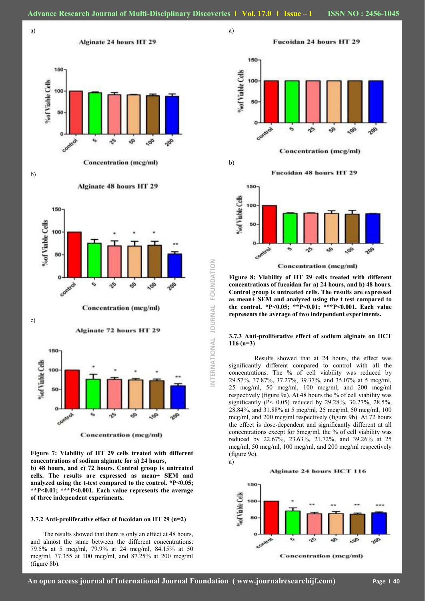a)

b)



**Alginate 24 hours HT 29** 



# b)

c)

**Alginate 48 hours HT 29** 



# **Concentration** (mcg/ml)

**Alginate 72 hours HT 29** 



**Concentration** (mcg/ml)

**Figure 7: Viability of HT 29 cells treated with different concentrations of sodium alginate for a) 24 hours, b) 48 hours, and c) 72 hours. Control group is untreated cells. The results are expressed as mean+ SEM and analyzed using the t-test compared to the control. \*P<0.05; \*\*P<0.01; \*\*\*P<0.001. Each value represents the average** 

#### **3.7.2 Anti-proliferative effect of fucoidan on HT 29 (n=2)**

**of three independent experiments.**

The results showed that there is only an effect at 48 hours, and almost the same between the different concentrations: 79.5% at 5 mcg/ml, 79.9% at 24 mcg/ml, 84.15% at 50 mcg/ml, 77.355 at 100 mcg/ml, and 87.25% at 200 mcg/ml (figure 8b).

NTERNATIONAL JOURNAL FOUNDATION **INTERNATIONAL JOURNAL FOUNDATION**

**Fucoidan 24 hours HT 29** 





**Figure 8: Viability of HT 29 cells treated with different concentrations of fucoidan for a) 24 hours, and b) 48 hours. Control group is untreated cells. The results are expressed as mean+ SEM and analyzed using the t test compared to the control. \*P<0.05; \*\*P<0.01; \*\*\*P<0.001. Each value represents the average of two independent experiments.**

## **3.7.3 Anti-proliferative effect of sodium alginate on HCT 116 (n=3)**

Results showed that at 24 hours, the effect was significantly different compared to control with all the concentrations. The % of cell viability was reduced by 29.57%, 37.87%, 37.27%, 39.37%, and 35.07% at 5 mcg/ml, 25 mcg/ml, 50 mcg/ml, 100 mcg/ml, and 200 mcg/ml respectively (figure 9a). At 48 hours the % of cell viability was significantly (P< 0.05) reduced by 29.28%, 30.27%, 28.5%, 28.84%, and 31.88% at 5 mcg/ml, 25 mcg/ml, 50 mcg/ml, 100 mcg/ml, and 200 mcg/ml respectively (figure 9b). At 72 hours the effect is dose-dependent and significantly different at all concentrations except for 5mcg/ml, the % of cell viability was reduced by 22.67%, 23.63%, 21.72%, and 39.26% at 25 mcg/ml, 50 mcg/ml, 100 mcg/ml, and 200 mcg/ml respectively (figure 9c). a)

**Alginate 24 hours HCT 116** 

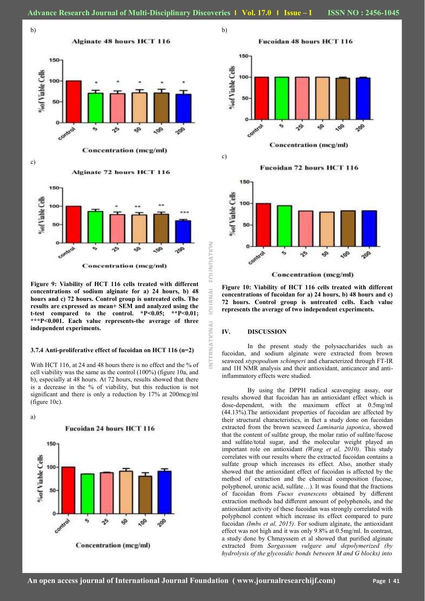b)

c)

**INTERNATIONAL JOURNAL FOUNDATION**

NTFRNATIONAL

**IQURNAL** 

FOLINDATION











**Figure 9: Viability of HCT 116 cells treated with different concentrations of sodium alginate for a) 24 hours, b) 48 hours and c) 72 hours. Control group is untreated cells. The results are expressed as mean+ SEM and analyzed using the t-test compared to the control. \*P<0.05; \*\*P<0.01; \*\*\*P<0.001. Each value represents-the average of three independent experiments.**

### **3.7.4 Anti-proliferative effect of fucoidan on HCT 116 (n=2)**

With HCT 116, at 24 and 48 hours there is no effect and the % of cell viability was the same as the control (100%) (figure 10a, and b), especially at 48 hours. At 72 hours, results showed that there is a decrease in the % of viability, but this reduction is not significant and there is only a reduction by 17% at 200mcg/ml (figure 10c).

a)



**Fucoidan 48 hours HCT 116** 



**Fucoidan 72 hours HCT 116** 



**Concentration** (mcg/ml)

**Figure 10: Viability of HCT 116 cells treated with different concentrations of fucoidan for a) 24 hours, b) 48 hours and c) 72 hours. Control group is untreated cells. Each value represents the average of two independent experiments.**

# **IV. DISCUSSION**

In the present study the polysaccharides such as fucoidan, and sodium alginate were extracted from brown seaweed *stypopodium schimperi* and characterized through FT-IR and 1H NMR analysis and their antioxidant, anticancer and antiinflammatory effects were studied.

By using the DPPH radical scavenging assay, our results showed that fucoidan has an antioxidant effect which is dose-dependent, with the maximum effect at 0.5mg/ml (44.13%).The antioxidant properties of fucoidan are affected by their structural characteristics, in fact a study done on fucoidan extracted from the brown seaweed *Laminaria japonica*, showed that the content of sulfate group, the molar ratio of sulfate/fucose and sulfate/total sugar, and the molecular weight played an important role on antioxidant *(Wang et al, 2010)*. This study correlates with our results where the extracted fucoidan contains a sulfate group which increases its effect. Also, another study showed that the antioxidant effect of fucoidan is affected by the method of extraction and the chemical composition (fucose, polyphenol, uronic acid, sulfate…). It was found that the fractions of fucoidan from *Fucus evanescens* obtained by different extraction methods had different amount of polyphenols, and the antioxidant activity of these fucoidan was strongly correlated with polyphenol content which increase its effect compared to pure fucoidan *(Imbs et al, 2015)*. For sodium alginate, the antioxidant effect was not high and it was only 9.8% at 0.5mg/ml. In contrast, a study done by Chmayssem et al showed that purified alginate extracted from *Sargassum vulgare and depolymerized (by hydrolysis of the glycosidic bonds between M and G blocks) into*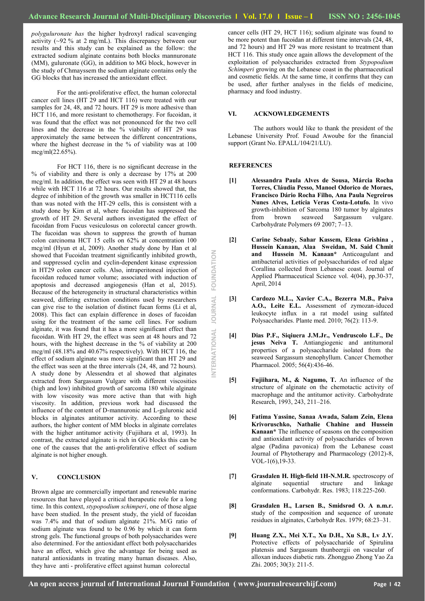**INTERNATIONAL JOURNAL FOUNDATION**

NTERNATIONAL JOURNAL

FOUNDATION

*polyguluronate has* the higher hydroxyl radical scavenging activity (~92 % at 2 mg/mL). This discrepancy between our results and this study can be explained as the follow: the extracted sodium alginate contains both blocks mannuronate (MM), guluronate (GG), in addition to MG block, however in the study of Chmayssem the sodium alginate contains only the GG blocks that has increased the antioxidant effect.

For the anti-proliferative effect, the human colorectal cancer cell lines (HT 29 and HCT 116) were treated with our samples for 24, 48, and 72 hours. HT 29 is more adhesive than HCT 116, and more resistant to chemotherapy. For fucoidan, it was found that the effect was not pronounced for the two cell lines and the decrease in the % viability of HT 29 was approximately the same between the different concentrations, where the highest decrease in the % of viability was at 100 mcg/ml(22.65%).

For HCT 116, there is no significant decrease in the % of viability and there is only a decrease by 17% at 200 mcg/ml. In addition, the effect was seen with HT 29 at 48 hours while with HCT 116 at 72 hours. Our results showed that, the degree of inhibition of the growth was smaller in HCT116 cells than was noted with the HT-29 cells, this is consistent with a study done by Kim et al, where fucoidan has suppressed the growth of HT 29. Several authors investigated the effect of fucoidan from Fucus vesiculosus on colorectal cancer growth. The fucoidan was shown to suppress the growth of human colon carcinoma HCT 15 cells on 62% at concentration 100 mcg/ml (Hyun et al, 2009). Another study done by Han et al showed that Fucoidan treatment significantly inhibited growth, and suppressed cyclin and cyclin-dependent kinase expression in HT29 colon cancer cells. Also, intraperitoneal injection of fucoidan reduced tumor volume; associated with induction of apoptosis and decreased angiogenesis (Han et al, 2015). Because of the heterogeneity in structural characteristics within seaweed, differing extraction conditions used by researchers can give rise to the isolation of distinct fucan forms (Li et al, 2008). This fact can explain difference in doses of fucoidan using for the treatment of the same cell lines. For sodium alginate, it was found that it has a more significant effect than fucoidan. With HT 29, the effect was seen at 48 hours and 72 hours, with the highest decrease in the % of viability at 200 mcg/ml (48.18% and 40.67% respectively). With HCT 116, the effect of sodium alginate was more significant than HT 29 and the effect was seen at the three intervals (24, 48, and 72 hours). A study done by Alessendra et al showed that alginates extracted from Sargassum Vulgare with different viscosities (high and low) inhibited growth of sarcoma 180 while alginate with low viscosity was more active than that with high viscosity. In addition, previous work had discussed the influence of the content of D-mannuronic and L-guluronic acid blocks in alginates antitumor activity. According to these authors, the higher content of MM blocks in alginate correlates with the higher antitumor activity (Fujiihara et al, 1993). In contrast, the extracted alginate is rich in GG blocks this can be one of the causes that the anti-proliferative effect of sodium alginate is not higher enough.

# **V. CONCLUSION**

Brown algae are commercially important and renewable marine resources that have played a critical therapeutic role for a long time. In this context, *stypopodium schimperi*, one of those algae have been studied. In the present study, the yield of fucoidan was 7.4% and that of sodium alginate 21%. M/G ratio of sodium alginate was found to be 0.96 by which it can form strong gels. The functional groups of both polysaccharides were also determined. For the antioxidant effect both polysaccharides have an effect, which give the advantage for being used as natural antioxidants in treating many human diseases. Also, they have anti - proliferative effect against human colorectal

cancer cells (HT 29, HCT 116); sodium alginate was found to be more potent than fucoidan at different time intervals (24, 48, and 72 hours) and HT 29 was more resistant to treatment than HCT 116. This study once again allows the development of the exploitation of polysaccharides extracted from *Stypopodium Schimperi* growing on the Lebanese coast in the pharmaceutical and cosmetic fields. At the same time, it confirms that they can be used, after further analyses in the fields of medicine, pharmacy and food industry.

## **VI. ACKNOWLEDGEMENTS**

The authors would like to thank the president of the Lebanese University Prof. Fouad Awoube for the financial support (Grant No. EPALL/104/21/LU).

## **REFERENCES**

- **[1] Alessandra Paula Alves de Sousa, Márcia Rocha Torres, Cláudia Pesso, Manoel Odorico de Moraes, Francisco Dário Rocha Filho, Ana Paula Negreiros Nunes Alves, Letícia Veras Costa-Lotufo.** In vivo growth-inhibition of Sarcoma 180 tumor by alginates from brown seaweed Sargassum vulgare. Carbohydrate Polymers 69 2007; 7–13.
- **[2] Carine Sebaaly, Sahar Kassem, Elena Grishina , Hussein Kanaan, Alaa Sweidan, M. Said Chmit and Hussein M. Kanaan\*** Anticoagulant and antibacterial activities of polysaccharides of red algae Corallina collected from Lebanese coast. Journal of Applied Pharmaceutical Science vol. 4(04), pp.30-37, April, 2014
- **[3] Cardozo M.L., Xavier C.A., Bezerra M.B., Paiva A.O., Leite E.L.** Assessment of zymozan-iduced leukocyte influx in a rat model using sulfated Polysaccharides. Plante med. 2010; 76(2): 113-9.
- **[4] Dias P.F., Siqiuera J.M.Jr., Vendruscolo L.F., De jesus Neiva T.** Antiangiogenic and antitumoral properties of a polysaccharide isolated from the seaweed Sargassum stenophyllum. Cancer Chemother Pharmacol. 2005; 56(4):436-46.
- **[5] Fujiihara, M., & Nagumo, T.** An influence of the structure of alginate on the chemotactic activity of macrophage and the antitumor activity. Carbohydrate Research, 1993, 243, 211–216.
- **[6] Fatima Yassine, Sanaa Awada, Salam Zein, Elena Krivoruschko, Nathalie Chahine and Hussein Kanaan\*** The influence of seasons on the composition and antioxidant activity of polysaccharides of brown algae (Padina pavonica) from the Lebanese coast Journal of Phytotherapy and Pharmacology (2012)-8, VOL-1(6),19-33.
- **[7] Grasdalen H. High-field 1H-N.M.R.** spectroscopy of alginate sequential structure and linkage conformations. Carbohydr. Res. 1983; 118:225-260.
- **[8] Grasdalen H., Larsen B., Smidsrød O. A n.m.r.**  study of the composition and sequence of uronate residues in alginates, Carbohydr Res. 1979; 68:23–31.
- **[9] Huang Z.X., Mei X.T., Xu D.H., Xu S.B., Lv J.Y.**  Protective effects of polysaccharide of Spirulina platensis and Sargassum thunbeergii on vascular of alloxan induces diabetic rats. Zhongguo Zhong Yao Za Zhi. 2005; 30(3): 211-5.